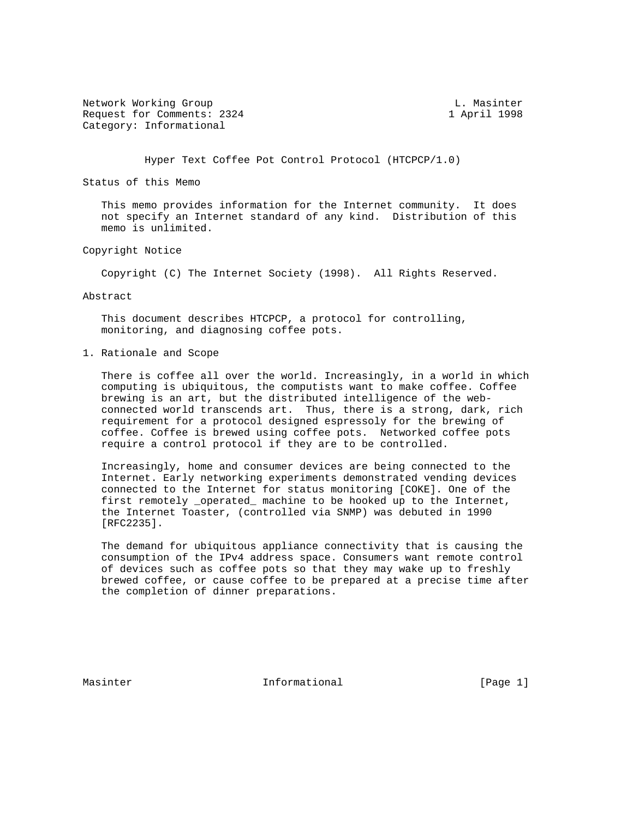Network Working Group and Communications of the L. Masinter Request for Comments: 2324 1 April 1998 Category: Informational

Hyper Text Coffee Pot Control Protocol (HTCPCP/1.0)

Status of this Memo

 This memo provides information for the Internet community. It does not specify an Internet standard of any kind. Distribution of this memo is unlimited.

Copyright Notice

Copyright (C) The Internet Society (1998). All Rights Reserved.

Abstract

 This document describes HTCPCP, a protocol for controlling, monitoring, and diagnosing coffee pots.

1. Rationale and Scope

 There is coffee all over the world. Increasingly, in a world in which computing is ubiquitous, the computists want to make coffee. Coffee brewing is an art, but the distributed intelligence of the web connected world transcends art. Thus, there is a strong, dark, rich requirement for a protocol designed espressoly for the brewing of coffee. Coffee is brewed using coffee pots. Networked coffee pots require a control protocol if they are to be controlled.

 Increasingly, home and consumer devices are being connected to the Internet. Early networking experiments demonstrated vending devices connected to the Internet for status monitoring [COKE]. One of the first remotely \_operated\_ machine to be hooked up to the Internet, the Internet Toaster, (controlled via SNMP) was debuted in 1990 [RFC2235].

 The demand for ubiquitous appliance connectivity that is causing the consumption of the IPv4 address space. Consumers want remote control of devices such as coffee pots so that they may wake up to freshly brewed coffee, or cause coffee to be prepared at a precise time after the completion of dinner preparations.

Masinter 11 Informational 11 (Page 1)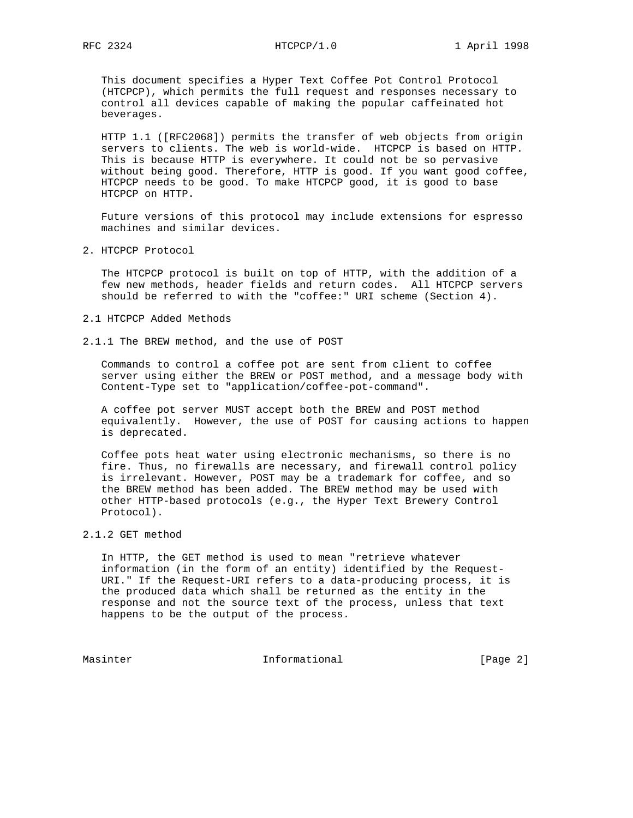This document specifies a Hyper Text Coffee Pot Control Protocol (HTCPCP), which permits the full request and responses necessary to control all devices capable of making the popular caffeinated hot beverages.

 HTTP 1.1 ([RFC2068]) permits the transfer of web objects from origin servers to clients. The web is world-wide. HTCPCP is based on HTTP. This is because HTTP is everywhere. It could not be so pervasive without being good. Therefore, HTTP is good. If you want good coffee, HTCPCP needs to be good. To make HTCPCP good, it is good to base HTCPCP on HTTP.

 Future versions of this protocol may include extensions for espresso machines and similar devices.

2. HTCPCP Protocol

 The HTCPCP protocol is built on top of HTTP, with the addition of a few new methods, header fields and return codes. All HTCPCP servers should be referred to with the "coffee:" URI scheme (Section 4).

- 2.1 HTCPCP Added Methods
- 2.1.1 The BREW method, and the use of POST

 Commands to control a coffee pot are sent from client to coffee server using either the BREW or POST method, and a message body with Content-Type set to "application/coffee-pot-command".

 A coffee pot server MUST accept both the BREW and POST method equivalently. However, the use of POST for causing actions to happen is deprecated.

 Coffee pots heat water using electronic mechanisms, so there is no fire. Thus, no firewalls are necessary, and firewall control policy is irrelevant. However, POST may be a trademark for coffee, and so the BREW method has been added. The BREW method may be used with other HTTP-based protocols (e.g., the Hyper Text Brewery Control Protocol).

## 2.1.2 GET method

 In HTTP, the GET method is used to mean "retrieve whatever information (in the form of an entity) identified by the Request- URI." If the Request-URI refers to a data-producing process, it is the produced data which shall be returned as the entity in the response and not the source text of the process, unless that text happens to be the output of the process.

Masinter Informational [Page 2]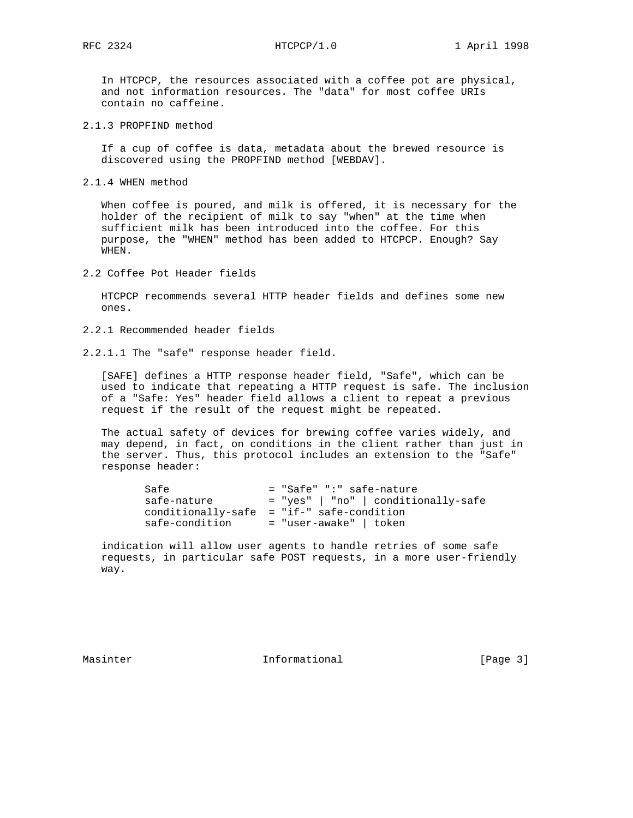In HTCPCP, the resources associated with a coffee pot are physical, and not information resources. The "data" for most coffee URIs contain no caffeine.

2.1.3 PROPFIND method

 If a cup of coffee is data, metadata about the brewed resource is discovered using the PROPFIND method [WEBDAV].

2.1.4 WHEN method

 When coffee is poured, and milk is offered, it is necessary for the holder of the recipient of milk to say "when" at the time when sufficient milk has been introduced into the coffee. For this purpose, the "WHEN" method has been added to HTCPCP. Enough? Say WHEN.

2.2 Coffee Pot Header fields

 HTCPCP recommends several HTTP header fields and defines some new ones.

2.2.1 Recommended header fields

2.2.1.1 The "safe" response header field.

 [SAFE] defines a HTTP response header field, "Safe", which can be used to indicate that repeating a HTTP request is safe. The inclusion of a "Safe: Yes" header field allows a client to repeat a previous request if the result of the request might be repeated.

 The actual safety of devices for brewing coffee varies widely, and may depend, in fact, on conditions in the client rather than just in the server. Thus, this protocol includes an extension to the "Safe" response header:

| Safe                                        |  |                          | = "Safe" ":" safe-nature            |
|---------------------------------------------|--|--------------------------|-------------------------------------|
| safe-nature                                 |  |                          | = "yes"   "no"   conditionally-safe |
| $conditionally-safe = "if-" safe-condition$ |  |                          |                                     |
| safe-condition                              |  | $=$ "user-awake"   token |                                     |

 indication will allow user agents to handle retries of some safe requests, in particular safe POST requests, in a more user-friendly way.

Masinter 10 Informational 10 (Page 3)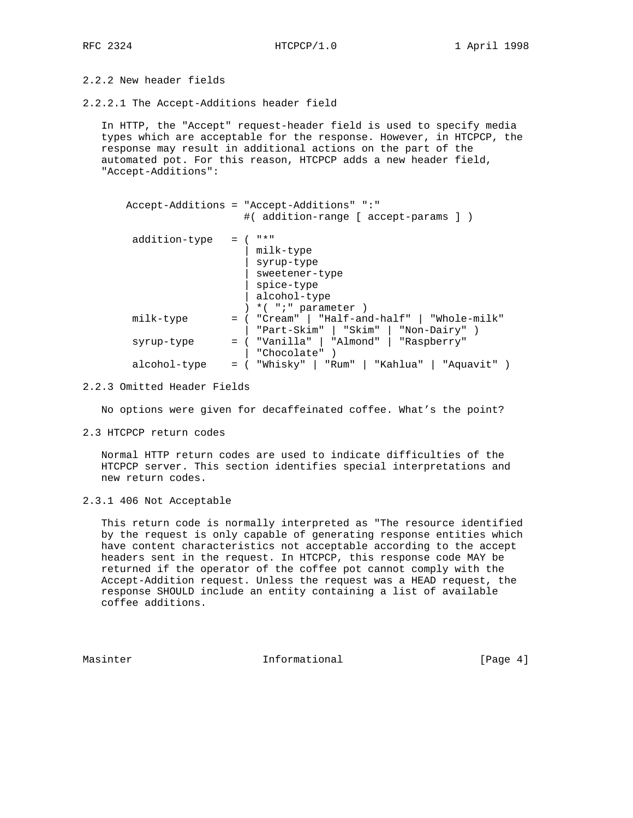# 2.2.2 New header fields

2.2.2.1 The Accept-Additions header field

 In HTTP, the "Accept" request-header field is used to specify media types which are acceptable for the response. However, in HTCPCP, the response may result in additional actions on the part of the automated pot. For this reason, HTCPCP adds a new header field, "Accept-Additions":

|              |               | Accept-Additions = "Accept-Additions" ":"<br>#( addition-range [ accept-params ] )                       |
|--------------|---------------|----------------------------------------------------------------------------------------------------------|
|              | addition-type | " * "<br>milk-type<br>syrup-type<br>sweetener-type<br>spice-type<br>alcohol-type<br>$*( "i" parameter )$ |
| milk-type    |               | = ( "Cream"   "Half-and-half"   "Whole-milk"<br>"Part-Skim"   "Skim"   "Non-Dairy" )                     |
| syrup-type   |               | = ( "Vanilla"   "Almond"   "Raspberry"<br>"Chocolate")                                                   |
| alcohol-type |               | = ( "Whisky"   "Rum"   "Kahlua"   "Aquavit" )                                                            |

### 2.2.3 Omitted Header Fields

No options were given for decaffeinated coffee. What's the point?

2.3 HTCPCP return codes

 Normal HTTP return codes are used to indicate difficulties of the HTCPCP server. This section identifies special interpretations and new return codes.

2.3.1 406 Not Acceptable

 This return code is normally interpreted as "The resource identified by the request is only capable of generating response entities which have content characteristics not acceptable according to the accept headers sent in the request. In HTCPCP, this response code MAY be returned if the operator of the coffee pot cannot comply with the Accept-Addition request. Unless the request was a HEAD request, the response SHOULD include an entity containing a list of available coffee additions.

Masinter 11 Informational 11 (Page 4)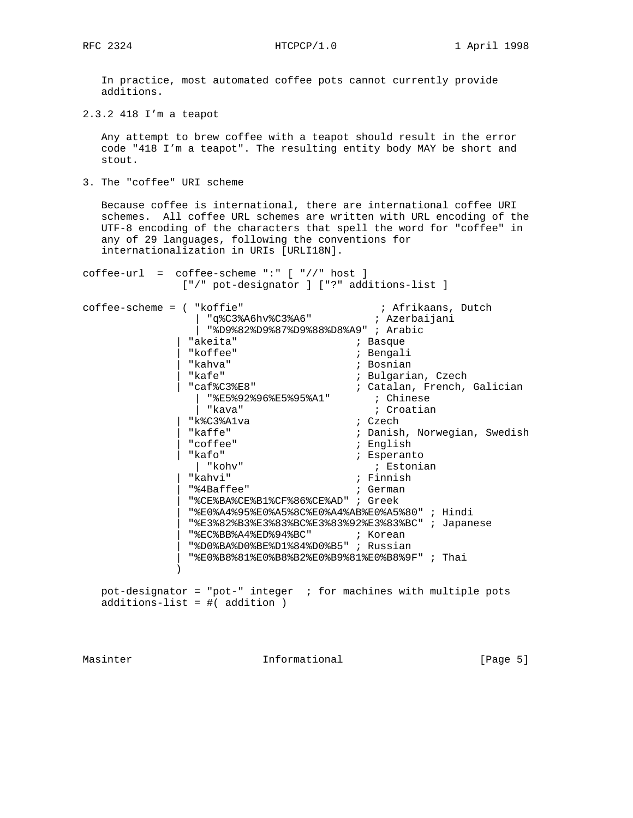In practice, most automated coffee pots cannot currently provide additions.

2.3.2 418 I'm a teapot

 Any attempt to brew coffee with a teapot should result in the error code "418 I'm a teapot". The resulting entity body MAY be short and stout.

3. The "coffee" URI scheme

 Because coffee is international, there are international coffee URI schemes. All coffee URL schemes are written with URL encoding of the UTF-8 encoding of the characters that spell the word for "coffee" in any of 29 languages, following the conventions for internationalization in URIs [URLI18N].

coffee-url = coffee-scheme ":" [ "//" host ] ["/" pot-designator ] ["?" additions-list ]

coffee-scheme = ( "koffie" ; Afrikaans, Dutch | "q%C3%A6hv%C3%A6" ; Azerbaijani | "%D9%82%D9%87%D9%88%D8%A9" ; Arabic | "akeita" ; Basque ; Bengali | "kahva" ; Bosnian | "kafe" ; Bulgarian, Czech | "caf%C3%E8" ; Catalan, French, Galician | "%E5%92%96%E5%95%A1" ; Chinese | "kava" ; Croatian  $\begin{array}{ccc}\n & \cdot & \cdot & \cdot & \cdot & \cdot \\
\mid & \text{"kava"} & & & & & \text{if } \text{Cr} \\
\text{"k&C3&Alva} & & & & \text{if } \text{Czech} \\
\mid & \text{kaffe} & & & & \text{if } \text{Ranish} \\
\mid & \cdot & \cdot & \cdot & \cdot & \text{Inval} \\
\end{array}$ ; Danish, Norwegian, Swedish | "coffee" ; English | "kafo" ; Esperanto ; Estonian | "kahvi" ; Finnish | "%4Baffee" ; German | "%CE%BA%CE%B1%CF%86%CE%AD" ; Greek | "%E0%A4%95%E0%A5%8C%E0%A4%AB%E0%A5%80" ; Hindi | "%E3%82%B3%E3%83%BC%E3%83%92%E3%83%BC" ; Japanese | "%EC%BB%A4%ED%94%BC" ; Korean | "%D0%BA%D0%BE%D1%84%D0%B5" ; Russian | "%E0%B8%81%E0%B8%B2%E0%B9%81%E0%B8%9F" ; Thai ) pot-designator = "pot-" integer ; for machines with multiple pots

additions-list = #( addition )

Masinter 1. Informational 1. The Informational The Interventional (Page 5)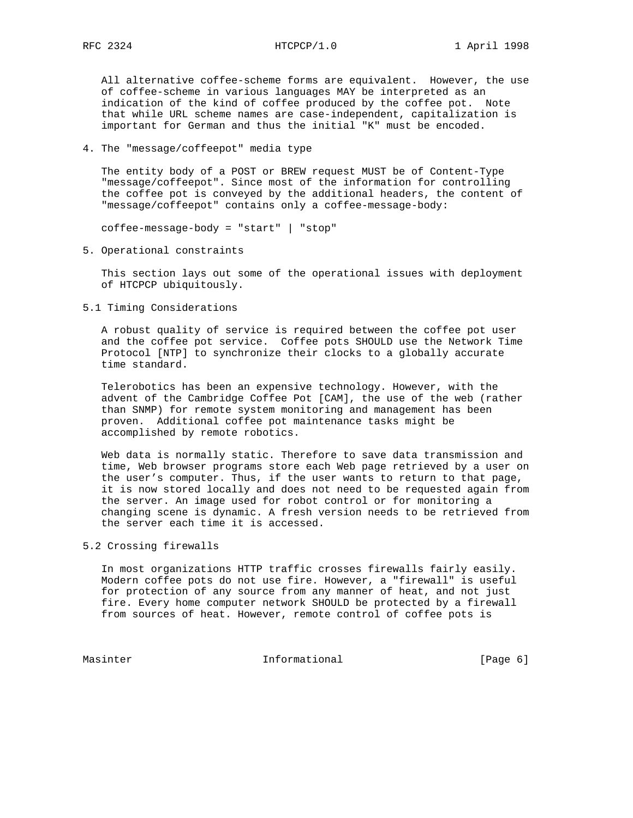All alternative coffee-scheme forms are equivalent. However, the use of coffee-scheme in various languages MAY be interpreted as an indication of the kind of coffee produced by the coffee pot. Note that while URL scheme names are case-independent, capitalization is important for German and thus the initial "K" must be encoded.

4. The "message/coffeepot" media type

 The entity body of a POST or BREW request MUST be of Content-Type "message/coffeepot". Since most of the information for controlling the coffee pot is conveyed by the additional headers, the content of "message/coffeepot" contains only a coffee-message-body:

coffee-message-body = "start" | "stop"

5. Operational constraints

 This section lays out some of the operational issues with deployment of HTCPCP ubiquitously.

5.1 Timing Considerations

 A robust quality of service is required between the coffee pot user and the coffee pot service. Coffee pots SHOULD use the Network Time Protocol [NTP] to synchronize their clocks to a globally accurate time standard.

 Telerobotics has been an expensive technology. However, with the advent of the Cambridge Coffee Pot [CAM], the use of the web (rather than SNMP) for remote system monitoring and management has been proven. Additional coffee pot maintenance tasks might be accomplished by remote robotics.

 Web data is normally static. Therefore to save data transmission and time, Web browser programs store each Web page retrieved by a user on the user's computer. Thus, if the user wants to return to that page, it is now stored locally and does not need to be requested again from the server. An image used for robot control or for monitoring a changing scene is dynamic. A fresh version needs to be retrieved from the server each time it is accessed.

## 5.2 Crossing firewalls

 In most organizations HTTP traffic crosses firewalls fairly easily. Modern coffee pots do not use fire. However, a "firewall" is useful for protection of any source from any manner of heat, and not just fire. Every home computer network SHOULD be protected by a firewall from sources of heat. However, remote control of coffee pots is

Masinter Informational [Page 6]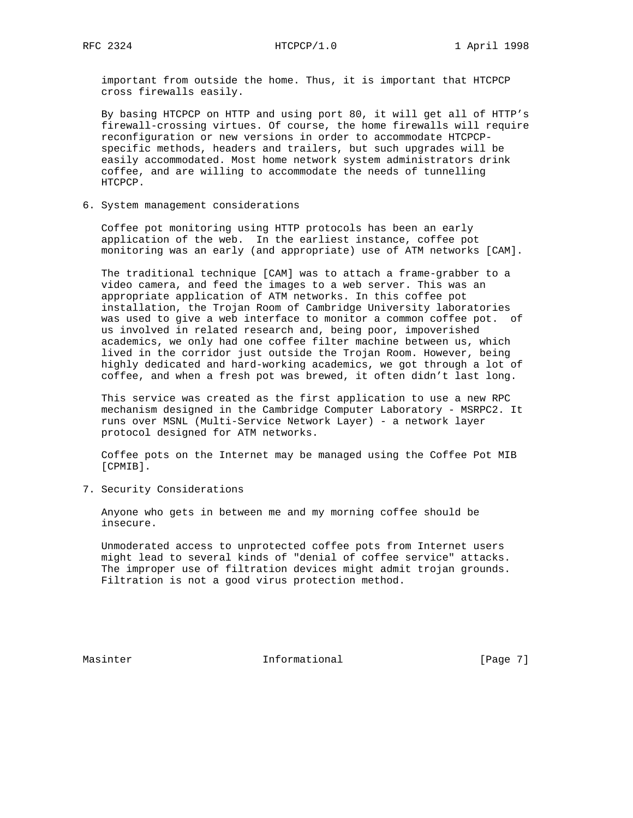important from outside the home. Thus, it is important that HTCPCP cross firewalls easily.

 By basing HTCPCP on HTTP and using port 80, it will get all of HTTP's firewall-crossing virtues. Of course, the home firewalls will require reconfiguration or new versions in order to accommodate HTCPCP specific methods, headers and trailers, but such upgrades will be easily accommodated. Most home network system administrators drink coffee, and are willing to accommodate the needs of tunnelling HTCPCP.

6. System management considerations

 Coffee pot monitoring using HTTP protocols has been an early application of the web. In the earliest instance, coffee pot monitoring was an early (and appropriate) use of ATM networks [CAM].

 The traditional technique [CAM] was to attach a frame-grabber to a video camera, and feed the images to a web server. This was an appropriate application of ATM networks. In this coffee pot installation, the Trojan Room of Cambridge University laboratories was used to give a web interface to monitor a common coffee pot. of us involved in related research and, being poor, impoverished academics, we only had one coffee filter machine between us, which lived in the corridor just outside the Trojan Room. However, being highly dedicated and hard-working academics, we got through a lot of coffee, and when a fresh pot was brewed, it often didn't last long.

 This service was created as the first application to use a new RPC mechanism designed in the Cambridge Computer Laboratory - MSRPC2. It runs over MSNL (Multi-Service Network Layer) - a network layer protocol designed for ATM networks.

 Coffee pots on the Internet may be managed using the Coffee Pot MIB [CPMIB].

7. Security Considerations

 Anyone who gets in between me and my morning coffee should be insecure.

 Unmoderated access to unprotected coffee pots from Internet users might lead to several kinds of "denial of coffee service" attacks. The improper use of filtration devices might admit trojan grounds. Filtration is not a good virus protection method.

Masinter 11 Informational 1999 [Page 7]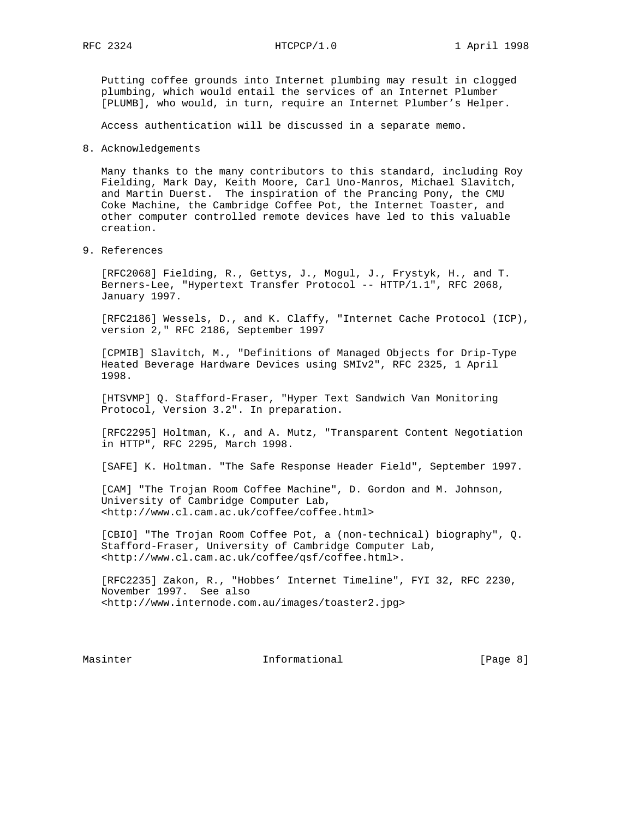Putting coffee grounds into Internet plumbing may result in clogged plumbing, which would entail the services of an Internet Plumber [PLUMB], who would, in turn, require an Internet Plumber's Helper.

Access authentication will be discussed in a separate memo.

8. Acknowledgements

 Many thanks to the many contributors to this standard, including Roy Fielding, Mark Day, Keith Moore, Carl Uno-Manros, Michael Slavitch, and Martin Duerst. The inspiration of the Prancing Pony, the CMU Coke Machine, the Cambridge Coffee Pot, the Internet Toaster, and other computer controlled remote devices have led to this valuable creation.

9. References

 [RFC2068] Fielding, R., Gettys, J., Mogul, J., Frystyk, H., and T. Berners-Lee, "Hypertext Transfer Protocol -- HTTP/1.1", RFC 2068, January 1997.

 [RFC2186] Wessels, D., and K. Claffy, "Internet Cache Protocol (ICP), version 2," RFC 2186, September 1997

 [CPMIB] Slavitch, M., "Definitions of Managed Objects for Drip-Type Heated Beverage Hardware Devices using SMIv2", RFC 2325, 1 April 1998.

 [HTSVMP] Q. Stafford-Fraser, "Hyper Text Sandwich Van Monitoring Protocol, Version 3.2". In preparation.

 [RFC2295] Holtman, K., and A. Mutz, "Transparent Content Negotiation in HTTP", RFC 2295, March 1998.

[SAFE] K. Holtman. "The Safe Response Header Field", September 1997.

 [CAM] "The Trojan Room Coffee Machine", D. Gordon and M. Johnson, University of Cambridge Computer Lab, <http://www.cl.cam.ac.uk/coffee/coffee.html>

 [CBIO] "The Trojan Room Coffee Pot, a (non-technical) biography", Q. Stafford-Fraser, University of Cambridge Computer Lab, <http://www.cl.cam.ac.uk/coffee/qsf/coffee.html>.

 [RFC2235] Zakon, R., "Hobbes' Internet Timeline", FYI 32, RFC 2230, November 1997. See also <http://www.internode.com.au/images/toaster2.jpg>

Masinter 11 Informational 1996 [Page 8]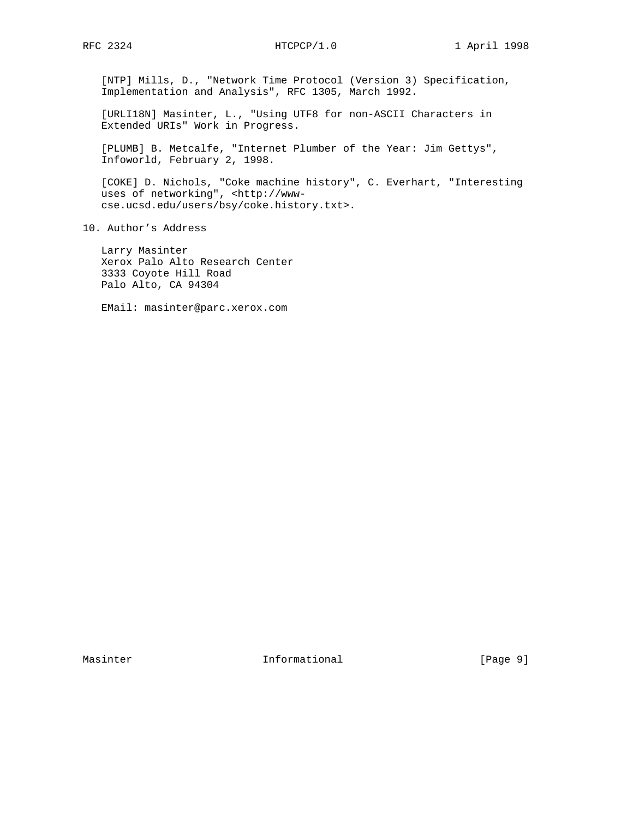[NTP] Mills, D., "Network Time Protocol (Version 3) Specification, Implementation and Analysis", RFC 1305, March 1992.

 [URLI18N] Masinter, L., "Using UTF8 for non-ASCII Characters in Extended URIs" Work in Progress.

 [PLUMB] B. Metcalfe, "Internet Plumber of the Year: Jim Gettys", Infoworld, February 2, 1998.

 [COKE] D. Nichols, "Coke machine history", C. Everhart, "Interesting uses of networking", <http://www cse.ucsd.edu/users/bsy/coke.history.txt>.

10. Author's Address

 Larry Masinter Xerox Palo Alto Research Center 3333 Coyote Hill Road Palo Alto, CA 94304

EMail: masinter@parc.xerox.com

Masinter 10 Informational 10 (Page 9)